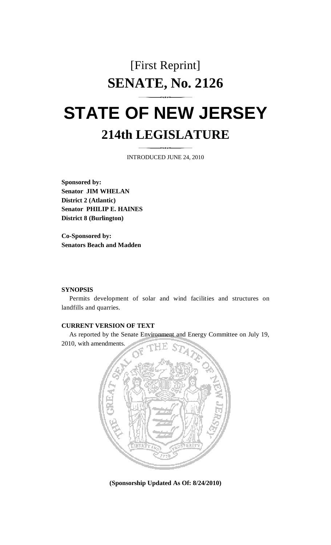## [First Reprint] **SENATE, No. 2126 STATE OF NEW JERSEY**

# **214th LEGISLATURE**

INTRODUCED JUNE 24, 2010

**Sponsored by: Senator JIM WHELAN District 2 (Atlantic) Senator PHILIP E. HAINES District 8 (Burlington)** 

**Co-Sponsored by: Senators Beach and Madden** 

#### **SYNOPSIS**

 Permits development of solar and wind facilities and structures on landfills and quarries.

#### **CURRENT VERSION OF TEXT**

 As reported by the Senate Environment and Energy Committee on July 19, 2010, with amendments.



**(Sponsorship Updated As Of: 8/24/2010)**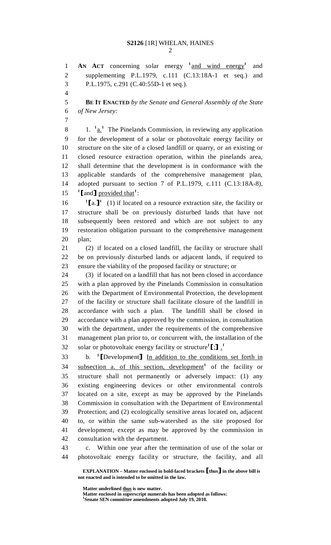1 **AN ACT** concerning solar energy <sup>1</sup> and wind energy<sup>1</sup> and 2 supplementing P.L.1979, c.111 (C.13:18A-1 et seq.) and 3 P.L.1975, c.291 (C.40:55D-1 et seq.). 4 5 **BE IT ENACTED** *by the Senate and General Assembly of the State*  6 *of New Jersey:* 7 8 1.  $1 \cdot \underline{a}$  The Pinelands Commission, in reviewing any application 9 for the development of a solar or photovoltaic energy facility or 10 structure on the site of a closed landfill or quarry, or an existing or 11 closed resource extraction operation, within the pinelands area, 12 shall determine that the development is in conformance with the 13 applicable standards of the comprehensive management plan, 14 adopted pursuant to section 7 of P.L.1979, c.111 (C.13:18A-8), 15  $\left[$  and  $\right]$  provided that<sup>1</sup>: 16  $\left[ \begin{array}{cc} 1 \end{array} \right]$  (1) if located on a resource extraction site, the facility or 17 structure shall be on previously disturbed lands that have not 18 subsequently been restored and which are not subject to any 19 restoration obligation pursuant to the comprehensive management 20 plan; 21 (2) if located on a closed landfill, the facility or structure shall 22 be on previously disturbed lands or adjacent lands, if required to 23 ensure the viability of the proposed facility or structure; or 24 (3) if located on a landfill that has not been closed in accordance 25 with a plan approved by the Pinelands Commission in consultation 26 with the Department of Environmental Protection, the development 27 of the facility or structure shall facilitate closure of the landfill in 28 accordance with such a plan. The landfill shall be closed in 29 accordance with a plan approved by the commission, in consultation 30 with the department, under the requirements of the comprehensive 31 management plan prior to, or concurrent with, the installation of the 32 solar or photovoltaic energy facility or structure  $[\cdot]$ .<sup>1</sup> 33 b. <sup>1</sup> [Development] In addition to the conditions set forth in 34 subsection a. of this section, development<sup>1</sup> of the facility or subsection a. of this section, development<sup>1</sup> of the facility or 35 structure shall not permanently or adversely impact: (1) any 36 existing engineering devices or other environmental controls 37 located on a site, except as may be approved by the Pinelands 38 Commission in consultation with the Department of Environmental 39 Protection; and (2) ecologically sensitive areas located on, adjacent 40 to, or within the same sub-watershed as the site proposed for 41 development, except as may be approved by the commission in 42 consultation with the department. 43 c. Within one year after the termination of use of the solar or 44 photovoltaic energy facility or structure, the facility, and all

 **EXPLANATION – Matter enclosed in bold-faced brackets** [**thus**] **in the above bill is not enacted and is intended to be omitted in the law.** 

 **Matter underlined thus is new matter.** 

Matter enclosed in superscript numerals has been adopted as follows: **Senate SEN committee amendments adopted July 19, 2010.**